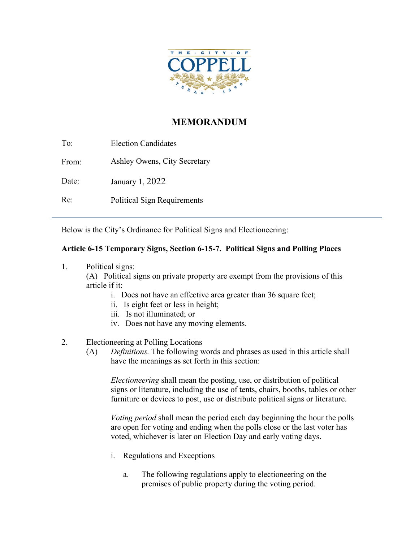

## **MEMORANDUM**

To: From: Date: Re: Election Candidates Ashley Owens, City Secretary January 1, 2022 Political Sign Requirements

Below is the City's Ordinance for Political Signs and Electioneering:

## **Article 6-15 Temporary Signs, Section 6-15-7. Political Signs and Polling Places**

1. Political signs:

(A) Political signs on private property are exempt from the provisions of this article if it:

- i. Does not have an effective area greater than 36 square feet;
- ii. Is eight feet or less in height;
- iii. Is not illuminated; or
- iv. Does not have any moving elements.
- 2. Electioneering at Polling Locations
	- (A) *Definitions.* The following words and phrases as used in this article shall have the meanings as set forth in this section:

*Electioneering* shall mean the posting, use, or distribution of political signs or literature, including the use of tents, chairs, booths, tables or other furniture or devices to post, use or distribute political signs or literature.

*Voting period* shall mean the period each day beginning the hour the polls are open for voting and ending when the polls close or the last voter has voted, whichever is later on Election Day and early voting days.

- i. Regulations and Exceptions
	- a. The following regulations apply to electioneering on the premises of public property during the voting period.